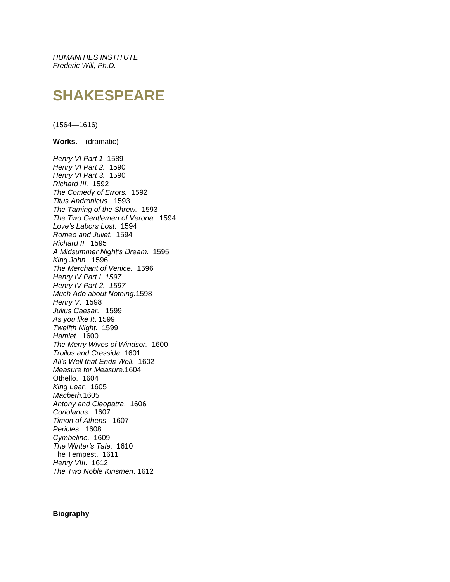*HUMANITIES INSTITUTE Frederic Will, Ph.D.*

## **SHAKESPEARE**

(1564—1616)

**Works.** (dramatic)

*Henry VI Part 1*. 1589 *Henry VI Part 2.* 1590 *Henry VI Part 3.* 1590 *Richard III.* 1592 *The Comedy of Errors.* 1592 *Titus Andronicus.* 1593 *The Taming of the Shrew.* 1593 *The Two Gentlemen of Verona.* 1594 *Love's Labors Lost*. 1594 *Romeo and Juliet.* 1594 *Richard II.* 1595 *A Midsummer Night's Dream*. 1595 *King John.* 1596 *The Merchant of Venice.* 1596 *Henry IV Part I. 1597 Henry IV Part 2. 1597 Much Ado about Nothing.*1598 *Henry V*. 1598 *Julius Caesar.* 1599 *As you like It*. 1599 *Twelfth Night.* 1599 *Hamlet.* 1600 *The Merry Wives of Windsor.* 1600 *Troilus and Cressida.* 1601 *All's Well that Ends Well.* 1602 *Measure for Measure.*1604 Othello. 1604 *King Lear.* 1605 *Macbeth.*1605 *Antony and Cleopatra*. 1606 *Coriolanus.* 1607 *Timon of Athens.* 1607 *Pericles.* 1608 *Cymbeline.* 1609 *The Winter's Tale.* 1610 The Tempest. 1611 *Henry VIII.* 1612 *The Two Noble Kinsmen*. 1612

## **Biography**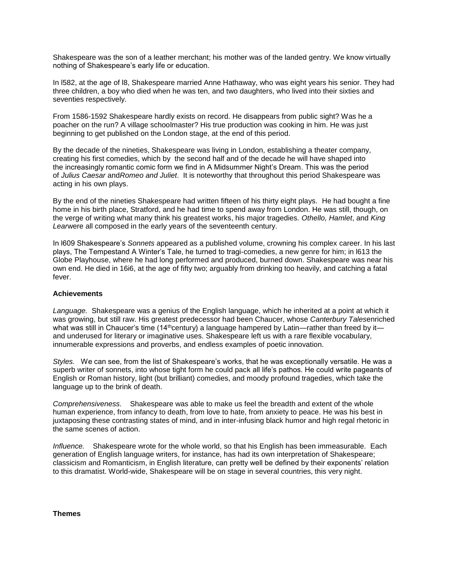Shakespeare was the son of a leather merchant; his mother was of the landed gentry. We know virtually nothing of Shakespeare's early life or education.

In l582, at the age of l8, Shakespeare married Anne Hathaway, who was eight years his senior. They had three children, a boy who died when he was ten, and two daughters, who lived into their sixties and seventies respectively.

From 1586-1592 Shakespeare hardly exists on record. He disappears from public sight? Was he a poacher on the run? A village schoolmaster? His true production was cooking in him. He was just beginning to get published on the London stage, at the end of this period.

By the decade of the nineties, Shakespeare was living in London, establishing a theater company, creating his first comedies, which by the second half and of the decade he will have shaped into the increasingly romantic comic form we find in A Midsummer Night's Dream. This was the period of *Julius Caesar* and*Romeo and Juliet*. It is noteworthy that throughout this period Shakespeare was acting in his own plays.

By the end of the nineties Shakespeare had written fifteen of his thirty eight plays. He had bought a fine home in his birth place, Stratford, and he had time to spend away from London. He was still, though, on the verge of writing what many think his greatest works, his major tragedies*. Othello, Hamlet*, and *King Lear*were all composed in the early years of the seventeenth century.

In l609 Shakespeare's *Sonnets* appeared as a published volume, crowning his complex career. In his last plays, The Tempestand A Winter's Tale, he turned to tragi-comedies, a new genre for him; in l613 the Globe Playhouse, where he had long performed and produced, burned down. Shakespeare was near his own end. He died in 16i6, at the age of fifty two; arguably from drinking too heavily, and catching a fatal fever.

## **Achievements**

*Language.* Shakespeare was a genius of the English language, which he inherited at a point at which it was growing, but still raw. His greatest predecessor had been Chaucer, whose *Canterbury Tales*enriched what was still in Chaucer's time (14<sup>th</sup>century) a language hampered by Latin—rather than freed by it and underused for literary or imaginative uses. Shakespeare left us with a rare flexible vocabulary, innumerable expressions and proverbs, and endless examples of poetic innovation.

*Styles.* We can see, from the list of Shakespeare's works, that he was exceptionally versatile. He was a superb writer of sonnets, into whose tight form he could pack all life's pathos. He could write pageants of English or Roman history, light (but brilliant) comedies, and moody profound tragedies, which take the language up to the brink of death.

*Comprehensiveness.* Shakespeare was able to make us feel the breadth and extent of the whole human experience, from infancy to death, from love to hate, from anxiety to peace. He was his best in juxtaposing these contrasting states of mind, and in inter-infusing black humor and high regal rhetoric in the same scenes of action.

*Influence.* Shakespeare wrote for the whole world, so that his English has been immeasurable. Each generation of English language writers, for instance, has had its own interpretation of Shakespeare; classicism and Romanticism, in English literature, can pretty well be defined by their exponents' relation to this dramatist. World-wide, Shakespeare will be on stage in several countries, this very night.

**Themes**